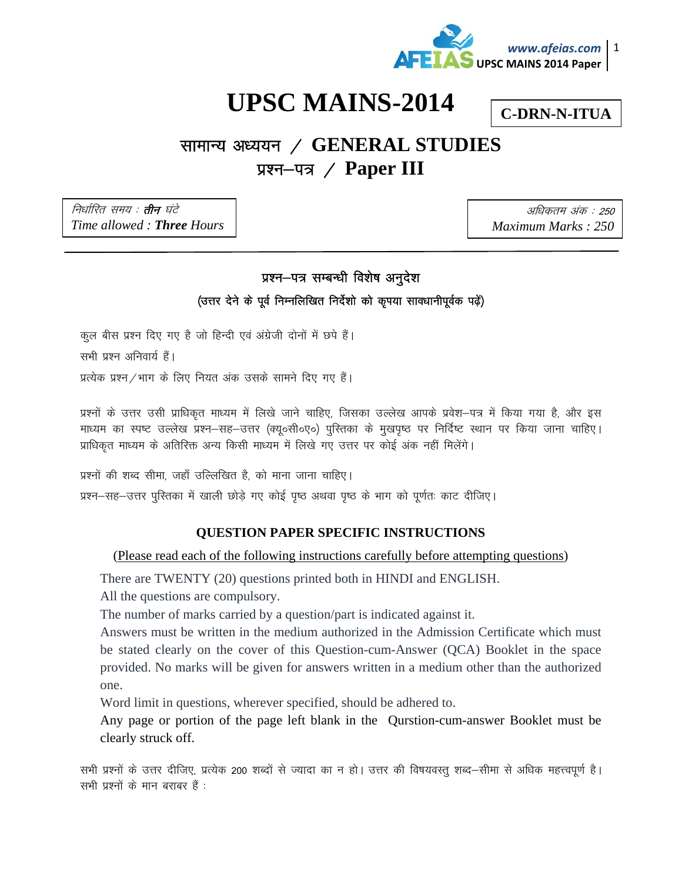

## **UPSC MAINS-2014**

**C-DRN-N-ITUA** 

## सामान्य अध्ययन / GENERAL STUDIES प्रश्न–पत्र / Paper III

निर्धारित समय : **तीन** घंटे Time allowed: Three Hours

अधिकतम अंक : 250 Maximum Marks: 250

## प्रश्न-पत्र सम्बन्धी विशेष अनुदेश

(उत्तर देने के पूर्व निम्नलिखित निर्देशो को कृपया सावधानीपूर्वक पढ़ें)

कुल बीस प्रश्न दिए गए है जो हिन्दी एवं अंग्रेजी दोनों में छपे हैं। सभी प्रश्न अनिवार्य हैं। प्रत्येक प्रश्न / भाग के लिए नियत अंक उसके सामने दिए गए हैं।

प्रश्नों के उत्तर उसी प्राधिकृत माध्यम में लिखे जाने चाहिए, जिसका उल्लेख आपके प्रवेश—पत्र में किया गया है, और इस माध्यम का स्पष्ट उल्लेख प्रश्न–सह–उत्तर (क्यू०सी०ए०) पुस्तिका के मुखपृष्ठ पर निर्दिष्ट स्थान पर किया जाना चाहिए। प्राधिकृत माध्यम के अतिरिक्त अन्य किसी माध्यम में लिखे गए उत्तर पर कोई अंक नहीं मिलेंगे।

प्रश्नों की शब्द सीमा, जहाँ उल्लिखित है, को माना जाना चाहिए।

प्रश्न-सह-उत्तर पुस्तिका में खाली छोड़े गए कोई पृष्ठ अथवा पृष्ठ के भाग को पूर्णतः काट दीजिए।

## **QUESTION PAPER SPECIFIC INSTRUCTIONS**

(Please read each of the following instructions carefully before attempting questions)

There are TWENTY (20) questions printed both in HINDI and ENGLISH.

All the questions are compulsory.

The number of marks carried by a question/part is indicated against it.

Answers must be written in the medium authorized in the Admission Certificate which must be stated clearly on the cover of this Question-cum-Answer (QCA) Booklet in the space provided. No marks will be given for answers written in a medium other than the authorized one.

Word limit in questions, wherever specified, should be adhered to.

Any page or portion of the page left blank in the Qurstion-cum-answer Booklet must be clearly struck off.

सभी प्रश्नों के उत्तर दीजिए, प्रत्येक 200 शब्दों से ज्यादा का न हो। उत्तर की विषयवस्तु शब्द—सीमा से अधिक महत्त्वपूर्ण है। सभी प्रश्नों के मान बराबर हैं .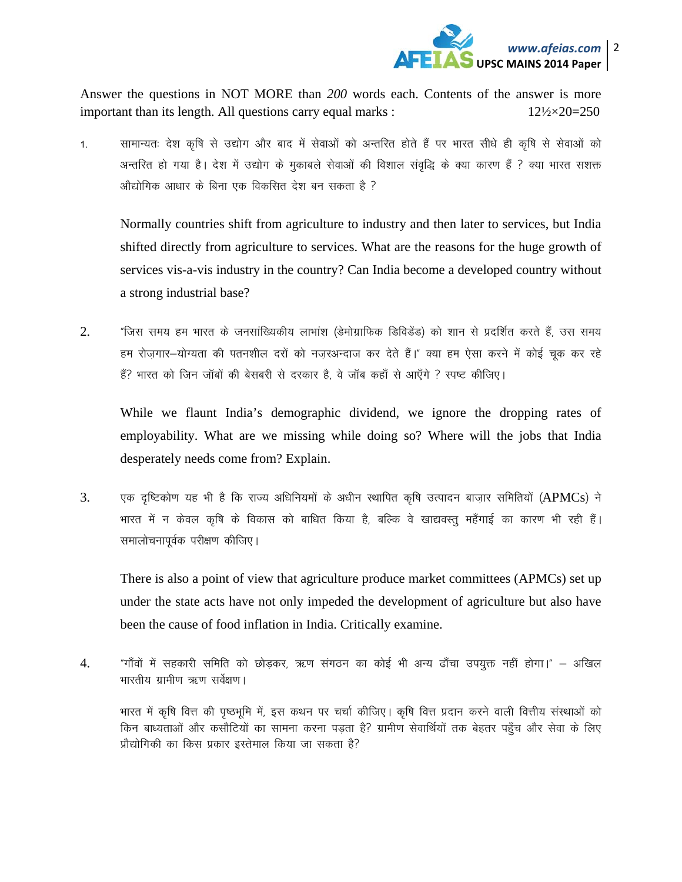

Answer the questions in NOT MORE than *200* words each. Contents of the answer is more important than its length. All questions carry equal marks :  $12\frac{12}{2} \times 20 = 250$ 

1. सामान्यतः देश कृषि से उद्योग और बाद में सेवाओं को अन्तरित होते हैं पर भारत सीधे ही कृषि से सेवाओं को अन्तरित हो गया है। देश में उद्योग के मुकाबले सेवाओं की विशाल संवृद्धि के क्या कारण हैं ? क्या भारत सशक्त <u>औद्योगिक आधार के बिना एक विकसित देश बन सकता है ?</u>

Normally countries shift from agriculture to industry and then later to services, but India shifted directly from agriculture to services. What are the reasons for the huge growth of services vis-a-vis industry in the country? Can India become a developed country without a strong industrial base?

2. "जिस समय हम भारत के जनसांख्यिकीय लाभांश (डेमोग्राफिक डिविडेंड) को शान से प्रदर्शित करते हैं, उस समय हम रोजगार-योग्यता की पतनशील दरों को नजरअन्दाज कर देते हैं।" क्या हम ऐसा करने में कोई चुक कर रहे हैं? भारत को जिन जॉबों की बेसबरी से दरकार है, वे जॉब कहाँ से आएँगे ? स्पष्ट कीजिए।

While we flaunt India's demographic dividend, we ignore the dropping rates of employability. What are we missing while doing so? Where will the jobs that India desperately needs come from? Explain.

3. yक दृष्टिकोण यह भी है कि राज्य अधिनियमों के अधीन स्थापित कृषि उत्पादन बाजार समितियों (APMCs) ने भारत में न केवल कृषि के विकास को बाधित किया है, बल्कि वे खाद्यवस्तु महँगाई का कारण भी रही हैं। समालोचनापूर्वक परीक्षण कीजिए।

There is also a point of view that agriculture produce market committees (APMCs) set up under the state acts have not only impeded the development of agriculture but also have been the cause of food inflation in India. Critically examine.

4. "गाँवों में सहकारी समिति को छोड़कर, ऋण संगठन का कोई भी अन्य ढाँचा उपयुक्त नहीं होगा।" – अखिल भारतीय ग्रामीण ऋण सर्वेक्षण।

भारत में कृषि वित्त की पृष्ठभूमि में, इस कथन पर चर्चा कीजिए। कृषि वित्त प्रदान करने वाली वित्तीय संस्थाओं को किन बाध्यताओं और कसौटियों का सामना करना पडता है? ग्रामीण सेवार्थियों तक बेहतर पहुँच और सेवा के लिए प्रौद्योगिकी का किस प्रकार इस्तेमाल किया जा सकता है?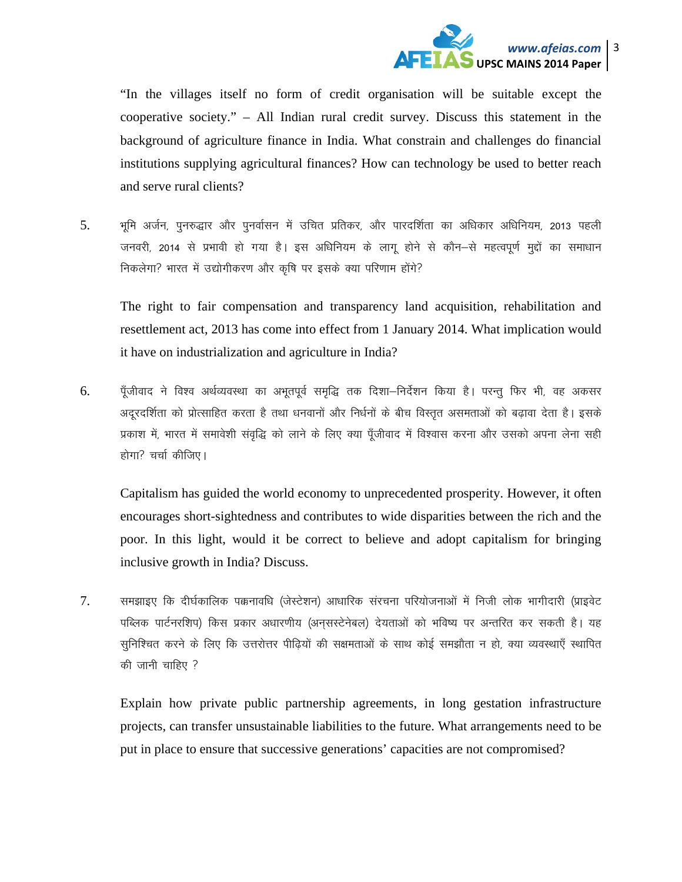

"In the villages itself no form of credit organisation will be suitable except the cooperative society." - All Indian rural credit survey. Discuss this statement in the background of agriculture finance in India. What constrain and challenges do financial institutions supplying agricultural finances? How can technology be used to better reach and serve rural clients?

भूमि अर्जन, पुनरुद्धार और पुनर्वासन में उचित प्रतिकर, और पारदर्शिता का अधिकार अधिनियम, 2013 पहली 5. जनवरी, 2014 से प्रभावी हो गया है। इस अधिनियम के लागू होने से कौन–से महत्वपूर्ण मुद्दों का समाधान निकलेगा? भारत में उद्योगीकरण और कृषि पर इसके क्या परिणाम होंगे?

The right to fair compensation and transparency land acquisition, rehabilitation and resettlement act, 2013 has come into effect from 1 January 2014. What implication would it have on industrialization and agriculture in India?

पॅंजीवाद ने विश्व अर्थव्यवस्था का अभुतपूर्व समुद्धि तक दिशा—निर्देशन किया है। परन्तु फिर भी, वह अकसर 6. अदरदर्शिता को प्रोत्साहित करता है तथा धनवानों और निर्धनों के बीच विस्तत असमताओं को बढावा देता है। इसके प्रकाश में, भारत में समावेशी संवृद्धि को लाने के लिए क्या पूँजीवाद में विश्वास करना और उसको अपना लेना सही होगा? चर्चा कीजिए।

Capitalism has guided the world economy to unprecedented prosperity. However, it often encourages short-sightedness and contributes to wide disparities between the rich and the poor. In this light, would it be correct to believe and adopt capitalism for bringing inclusive growth in India? Discuss.

7. समझाइए कि दीर्घकालिक पक्कनावधि (जेस्टेशन) आधारिक संरचना परियोजनाओं में निजी लोक भागीदारी (प्राइवेट पब्लिक पार्टनरशिप) किस प्रकार अधारणीय (अनुसस्टेनेबल) देयताओं को भविष्य पर अन्तरित कर सकती है। यह सुनिश्चित करने के लिए कि उत्तरोत्तर पीढियों की सक्षमताओं के साथ कोई समझौता न हो, क्या व्यवस्थाएँ स्थापित की जानी चाहिए ?

Explain how private public partnership agreements, in long gestation infrastructure projects, can transfer unsustainable liabilities to the future. What arrangements need to be put in place to ensure that successive generations' capacities are not compromised?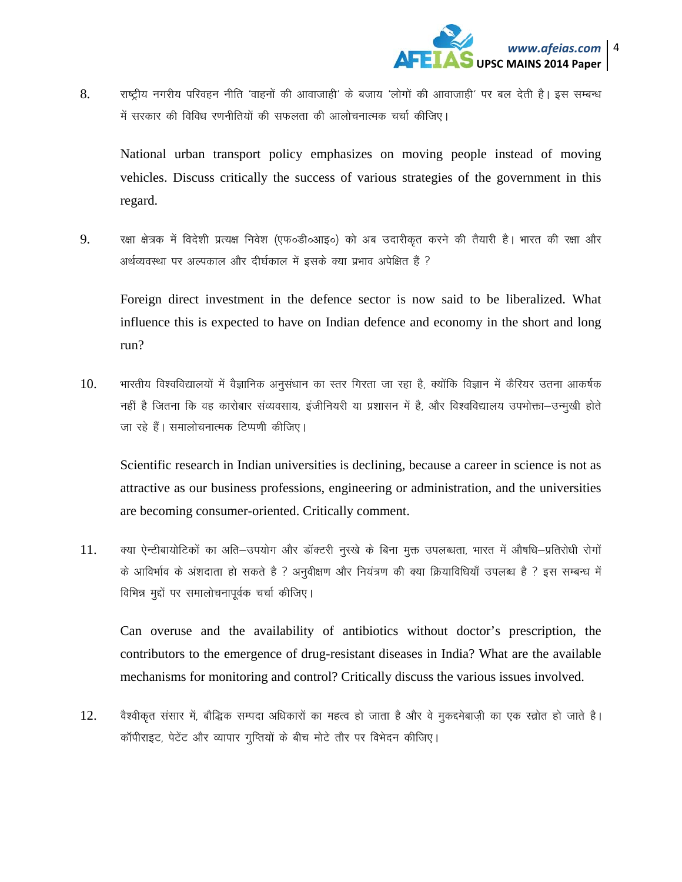

8. राष्ट्रीय नगरीय परिवहन नीति 'वाहनों की आवाजाही' के बजाय 'लोगों की आवाजाही' पर बल देती है। इस सम्बन्ध में सरकार की विविध रणनीतियों की सफलता की आलोचनात्मक चर्चा कीजिए।

National urban transport policy emphasizes on moving people instead of moving vehicles. Discuss critically the success of various strategies of the government in this regard.

9. रक्षा क्षेत्रक में विदेशी प्रत्यक्ष निवेश (एफ०डी०आइ०) को अब उदारीकृत करने की तैयारी है। भारत की रक्षा और अर्थव्यवस्था पर अल्पकाल और दीर्घकाल में इसके क्या प्रभाव अपेक्षित है ?

Foreign direct investment in the defence sector is now said to be liberalized. What influence this is expected to have on Indian defence and economy in the short and long run?

 $10.$  भारतीय विश्वविद्यालयों में वैज्ञानिक अनुसंधान का स्तर गिरता जा रहा है, क्योंकि विज्ञान में कैरियर उतना आकर्षक नहीं है जितना कि वह कारोबार संव्यवसाय, इंजीनियरी या प्रशासन में है, और विश्वविद्यालय उपभोक्ता-उन्मूखी होते जा रहे हैं। समालोचनात्मक टिप्पणी कीजिए।

Scientific research in Indian universities is declining, because a career in science is not as attractive as our business professions, engineering or administration, and the universities are becoming consumer-oriented. Critically comment.

11. क्या ऐन्टीबायोटिकों का अति–उपयोग और डॉक्टरी नुस्खे के बिना मुक्त उपलब्धता, भारत में औषधि–प्रतिरोधी रोगों के आविर्भाव के अंशदाता हो सकते है ? अनुवीक्षण और नियंत्रण की क्या क्रियाविधियाँ उपलब्ध है ? इस सम्बन्ध में विभिन्न मुद्दों पर समालोचनापूर्वक चर्चा कीजिए।

 Can overuse and the availability of antibiotics without doctor's prescription, the contributors to the emergence of drug-resistant diseases in India? What are the available mechanisms for monitoring and control? Critically discuss the various issues involved.

12. वैश्वीकृत संसार में, बौद्धिक सम्पदा अधिकारों का महत्व हो जाता है और वे मुकद्दमेबाज़ी का एक स्त्रोत हो जाते है। कॉपीराइट, पेटेंट और व्यापार गुप्तियों के बीच मोटे तौर पर विभेदन कीजिए।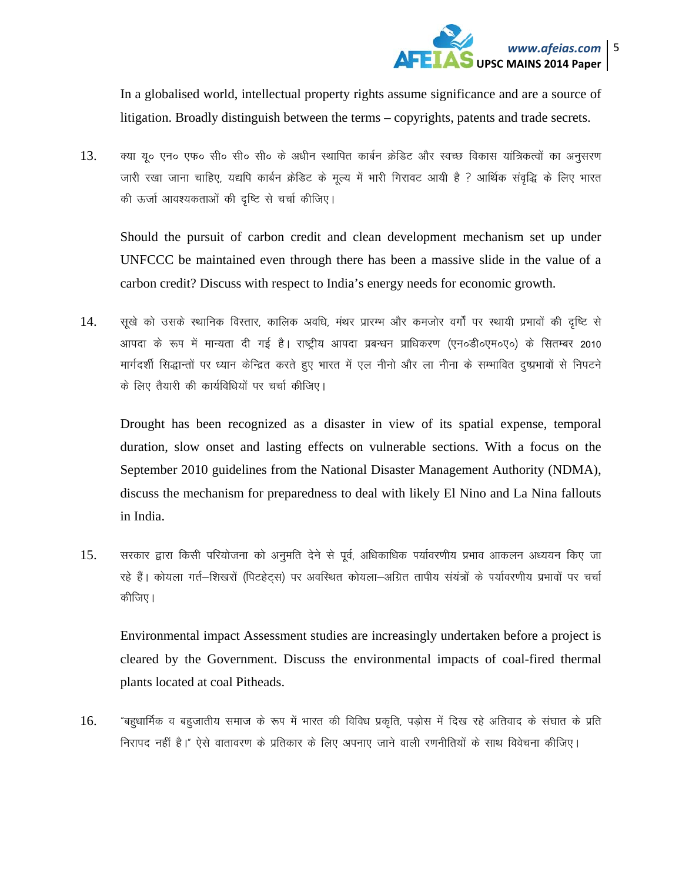

In a globalised world, intellectual property rights assume significance and are a source of litigation. Broadly distinguish between the terms – copyrights, patents and trade secrets.

क्या यू० एन० एफ० सी० सी० सी० के अधीन स्थापित कार्बन क्रेडिट और स्वच्छ विकास यांत्रिकत्वों का अनुसरण 13. जारी रखा जाना चाहिए, यद्यपि कार्बन क्रेडिट के मूल्य में भारी गिरावट आयी है ? आर्थिक संवृद्धि के लिए भारत की ऊर्जा आवश्यकताओं की दृष्टि से चर्चा कीजिए।

Should the pursuit of carbon credit and clean development mechanism set up under UNFCCC be maintained even through there has been a massive slide in the value of a carbon credit? Discuss with respect to India's energy needs for economic growth.

14. सूखे को उसके स्थानिक विस्तार, कालिक अवधि, मंथर प्रारम्भ और कमजोर वर्गों पर स्थायी प्रभावों की दृष्टि से आपदा के रूप में मान्यता दी गई है। राष्ट्रीय आपदा प्रबन्धन प्राधिकरण (एन०डी०एम०ए०) के सितम्बर 2010 मार्गदर्शी सिद्धान्तों पर ध्यान केन्द्रित करते हुए भारत में एल नीनो और ला नीना के सम्भावित दुष्प्रभावों से निपटने के लिए तैयारी की कार्यविधियों पर चर्चा कीजिए।

Drought has been recognized as a disaster in view of its spatial expense, temporal duration, slow onset and lasting effects on vulnerable sections. With a focus on the September 2010 guidelines from the National Disaster Management Authority (NDMA), discuss the mechanism for preparedness to deal with likely El Nino and La Nina fallouts in India.

सरकार द्वारा किसी परियोजना को अनुमति देने से पूर्व, अधिकाधिक पर्यावरणीय प्रभाव आकलन अध्ययन किए जा 15. रहे हैं। कोयला गर्त–शिखरों (पिटहेट्स) पर अवस्थित कोयला–अग्रित तापीय संयंत्रों के पर्यावरणीय प्रभावों पर चर्चा कीजिए।

Environmental impact Assessment studies are increasingly undertaken before a project is cleared by the Government. Discuss the environmental impacts of coal-fired thermal plants located at coal Pitheads.

"बहुधार्मिक व बहुजातीय समाज के रूप में भारत की विविध प्रकृति, पडोस में दिख रहे अतिवाद के संघात के प्रति 16. निरापद नहीं है।" ऐसे वातावरण के प्रतिकार के लिए अपनाए जाने वाली रणनीतियों के साथ विवेचना कीजिए।